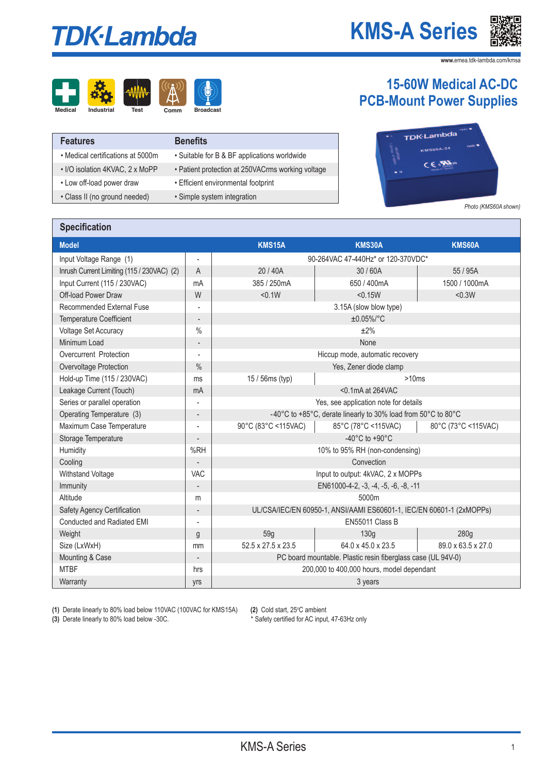# **TDK-Lambda**

### **KMS-A Series**



**www.**emea.tdk-lambda.com/kmsa

# **Medical Industrial Test Comm Broadcast**



| <b>Features</b>                   | <b>Benefits</b>                                   |
|-----------------------------------|---------------------------------------------------|
| • Medical certifications at 5000m | • Suitable for B & BF applications worldwide      |
| • I/O isolation 4KVAC, 2 x MoPP   | • Patient protection at 250VACrms working voltage |
| • Low off-load power draw         | • Efficient environmental footprint               |
| • Class II (no ground needed)     | · Simple system integration                       |

#### **15-60W Medical AC-DC PCB-Mount Power Supplies**



*Photo (KMS60A shown)*

#### **Specification**

| <b>Model</b>                               |                          | <b>KMS15A</b>                                                 | <b>KMS30A</b>                                                        | <b>KMS60A</b>       |
|--------------------------------------------|--------------------------|---------------------------------------------------------------|----------------------------------------------------------------------|---------------------|
| Input Voltage Range (1)                    | $\overline{\phantom{a}}$ |                                                               | 90-264VAC 47-440Hz* or 120-370VDC*                                   |                     |
| Inrush Current Limiting (115 / 230VAC) (2) | A                        | 20 / 40A                                                      | 30/60A                                                               | 55 / 95A            |
| Input Current (115 / 230VAC)               | mA                       | 385 / 250mA                                                   | 650 / 400mA                                                          | 1500 / 1000mA       |
| Off-load Power Draw                        | W                        | < 0.1W                                                        | < 0.15W                                                              | < 0.3W              |
| Recommended External Fuse                  |                          |                                                               | 3.15A (slow blow type)                                               |                     |
| <b>Temperature Coefficient</b>             |                          |                                                               | $±0.05\%/°C$                                                         |                     |
| <b>Voltage Set Accuracy</b>                | $\%$                     |                                                               | ±2%                                                                  |                     |
| Minimum Load                               |                          |                                                               | None                                                                 |                     |
| Overcurrent Protection                     | $\overline{\phantom{a}}$ |                                                               | Hiccup mode, automatic recovery                                      |                     |
| Overvoltage Protection                     | $\frac{0}{0}$            |                                                               | Yes, Zener diode clamp                                               |                     |
| Hold-up Time (115 / 230VAC)                | ms                       | 15 / 56ms (typ)                                               | >10ms                                                                |                     |
| Leakage Current (Touch)                    | mA                       | $<$ 0.1 mA at 264 VAC                                         |                                                                      |                     |
| Series or parallel operation               |                          |                                                               | Yes, see application note for details                                |                     |
| Operating Temperature (3)                  |                          | -40°C to +85°C, derate linearly to 30% load from 50°C to 80°C |                                                                      |                     |
| Maximum Case Temperature                   | $\overline{\phantom{a}}$ | 90°C (83°C <115VAC)                                           | 85°C (78°C <115VAC)                                                  | 80°C (73°C <115VAC) |
| Storage Temperature                        |                          |                                                               | -40 $^{\circ}$ C to +90 $^{\circ}$ C                                 |                     |
| Humidity                                   | %RH                      |                                                               | 10% to 95% RH (non-condensing)                                       |                     |
| Cooling                                    |                          |                                                               | Convection                                                           |                     |
| Withstand Voltage                          | VAC                      |                                                               | Input to output: 4kVAC, 2 x MOPPs                                    |                     |
| Immunity                                   | $\overline{\phantom{a}}$ |                                                               | EN61000-4-2, -3, -4, -5, -6, -8, -11                                 |                     |
| Altitude                                   | m                        |                                                               | 5000m                                                                |                     |
| Safety Agency Certification                | $\overline{\phantom{a}}$ |                                                               | UL/CSA/IEC/EN 60950-1, ANSI/AAMI ES60601-1, IEC/EN 60601-1 (2xMOPPs) |                     |
| Conducted and Radiated EMI                 | $\overline{a}$           |                                                               | EN55011 Class B                                                      |                     |
| Weight                                     | g                        | 59q                                                           | 130 <sub>q</sub>                                                     | 280 <sub>g</sub>    |
| Size (LxWxH)                               | mm                       | 52.5 x 27.5 x 23.5                                            | 64.0 x 45.0 x 23.5                                                   | 89.0 x 63.5 x 27.0  |
| Mounting & Case                            | $\overline{a}$           |                                                               | PC board mountable. Plastic resin fiberglass case (UL 94V-0)         |                     |
| <b>MTBF</b>                                | hrs                      |                                                               | 200,000 to 400,000 hours, model dependant                            |                     |
| Warranty                                   | yrs                      |                                                               | 3 years                                                              |                     |

**(3)** Derate linearly to 80% load below -30C.

(1) Derate linearly to 80% load below 110VAC (100VAC for KMS15A) (2) Cold start, 25°C ambient (3) Derate linearly to 80% load below -30C. (2) Cold start, 25°C ambient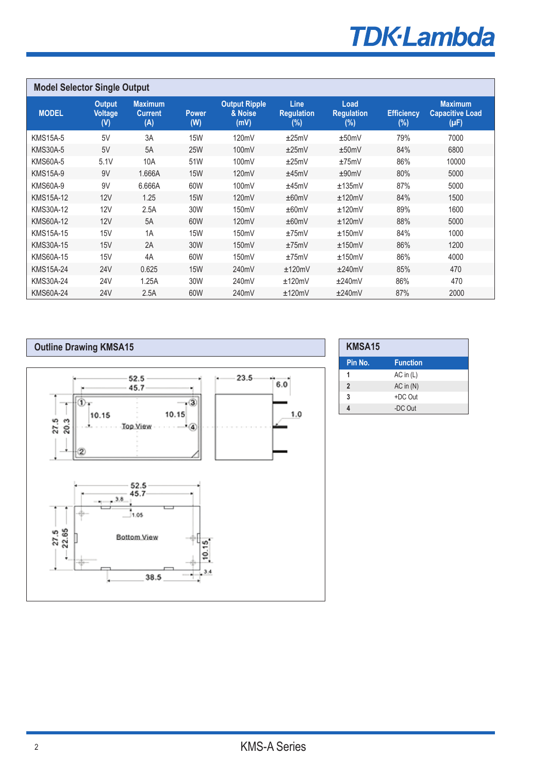# **TDK-Lambda**

| <b>Model Selector Single Output</b> |                                        |                                         |                     |                                         |                                     |                                     |                             |                                                       |
|-------------------------------------|----------------------------------------|-----------------------------------------|---------------------|-----------------------------------------|-------------------------------------|-------------------------------------|-----------------------------|-------------------------------------------------------|
| <b>MODEL</b>                        | <b>Output</b><br><b>Voltage</b><br>(V) | <b>Maximum</b><br><b>Current</b><br>(A) | <b>Power</b><br>(W) | <b>Output Ripple</b><br>& Noise<br>(mV) | Line<br><b>Requlation</b><br>$(\%)$ | Load<br><b>Regulation</b><br>$(\%)$ | <b>Efficiency</b><br>$(\%)$ | <b>Maximum</b><br><b>Capacitive Load</b><br>$(\mu F)$ |
| <b>KMS15A-5</b>                     | 5V                                     | 3A                                      | <b>15W</b>          | 120mV                                   | ±25mV                               | ±50mV                               | 79%                         | 7000                                                  |
| <b>KMS30A-5</b>                     | 5V                                     | 5A                                      | <b>25W</b>          | 100mV                                   | ±25mV                               | ±50mV                               | 84%                         | 6800                                                  |
| <b>KMS60A-5</b>                     | 5.1V                                   | 10A                                     | 51W                 | 100mV                                   | ±25mV                               | ±75mV                               | 86%                         | 10000                                                 |
| <b>KMS15A-9</b>                     | 9V                                     | 1.666A                                  | <b>15W</b>          | 120mV                                   | ±45mV                               | ±90mV                               | 80%                         | 5000                                                  |
| <b>KMS60A-9</b>                     | 9V                                     | 6.666A                                  | 60W                 | 100mV                                   | ±45mV                               | ±135mV                              | 87%                         | 5000                                                  |
| <b>KMS15A-12</b>                    | 12V                                    | 1.25                                    | <b>15W</b>          | 120mV                                   | ±60mV                               | ±120mV                              | 84%                         | 1500                                                  |
| KMS30A-12                           | 12V                                    | 2.5A                                    | 30W                 | 150mV                                   | ±60mV                               | ±120mV                              | 89%                         | 1600                                                  |
| KMS60A-12                           | 12V                                    | 5A                                      | 60W                 | 120mV                                   | ±60mV                               | ±120mV                              | 88%                         | 5000                                                  |
| <b>KMS15A-15</b>                    | 15V                                    | 1A                                      | <b>15W</b>          | 150mV                                   | ±75mV                               | ±150mV                              | 84%                         | 1000                                                  |
| <b>KMS30A-15</b>                    | 15V                                    | 2A                                      | 30W                 | 150mV                                   | ±75mV                               | ±150mV                              | 86%                         | 1200                                                  |
| <b>KMS60A-15</b>                    | 15V                                    | 4A                                      | 60W                 | 150mV                                   | ±75mV                               | ±150mV                              | 86%                         | 4000                                                  |
| <b>KMS15A-24</b>                    | <b>24V</b>                             | 0.625                                   | <b>15W</b>          | 240mV                                   | ±120mV                              | ±240mV                              | 85%                         | 470                                                   |
| <b>KMS30A-24</b>                    | 24 <sub>V</sub>                        | 1.25A                                   | 30W                 | 240mV                                   | ±120mV                              | ±240mV                              | 86%                         | 470                                                   |
| <b>KMS60A-24</b>                    | <b>24V</b>                             | 2.5A                                    | 60W                 | 240mV                                   | ±120mV                              | ±240mV                              | 87%                         | 2000                                                  |



| KMSA15         |                 |  |
|----------------|-----------------|--|
| Pin No.        | <b>Function</b> |  |
|                | $AC$ in $(L)$   |  |
| $\overline{2}$ | $AC$ in $(N)$   |  |
| 3              | +DC Out         |  |
|                | -DC Out         |  |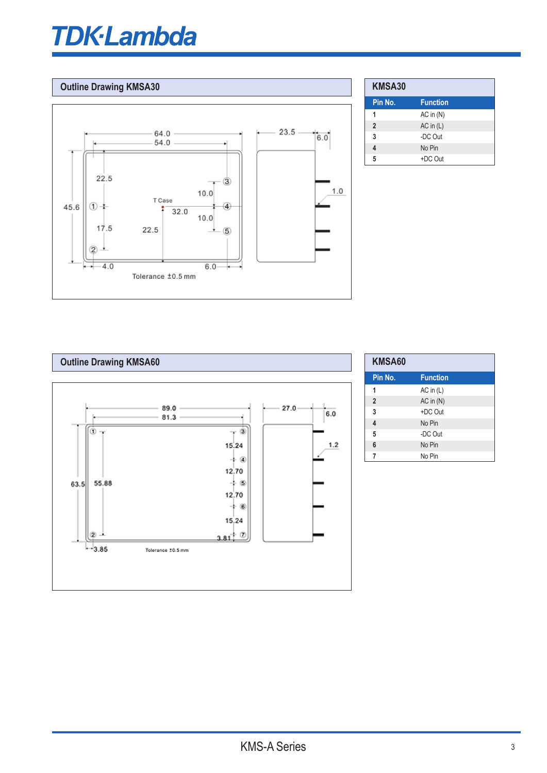# $d$ a and  $d$

#### **Dutline Drawing KMSA30**



The KMS30A-xx family of component power supplies is designed for use  $\mathcal{A}$ 

| <b>KMSA30</b>  |                 |
|----------------|-----------------|
| Pin No.        | <b>Function</b> |
|                | $AC$ in $(N)$   |
| $\overline{2}$ | $AC$ in $(L)$   |
| 3              | -DC Out         |
|                | No Pin          |
| 5              | +DC Out         |



| KMSA60         |                 |  |
|----------------|-----------------|--|
| Pin No.        | <b>Function</b> |  |
| 1              | $AC$ in $(L)$   |  |
| $\overline{2}$ | $AC$ in $(N)$   |  |
| 3              | +DC Out         |  |
| 4              | No Pin          |  |
| 5              | -DC Out         |  |
| 6              | No Pin          |  |
| 7              | No Pin          |  |